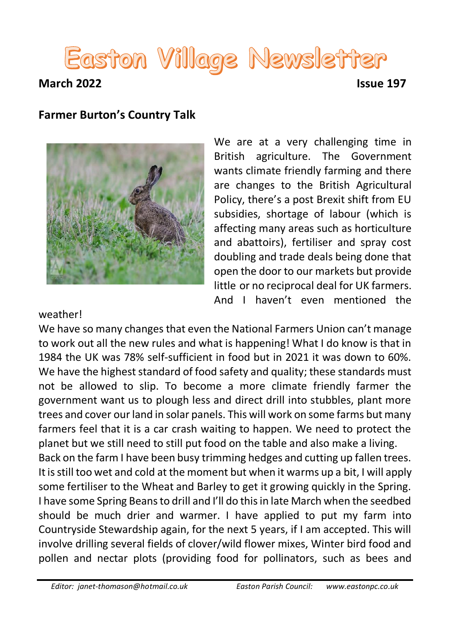# Easton Village Newsletter **March 2022 Issue 197**

### **Farmer Burton's Country Talk**



We are at a very challenging time in British agriculture. The Government wants climate friendly farming and there are changes to the British Agricultural Policy, there's a post Brexit shift from EU subsidies, shortage of labour (which is affecting many areas such as horticulture and abattoirs), fertiliser and spray cost doubling and trade deals being done that open the door to our markets but provide little or no reciprocal deal for UK farmers. And I haven't even mentioned the

### weather!

We have so many changes that even the National Farmers Union can't manage to work out all the new rules and what is happening! What I do know is that in 1984 the UK was 78% self-sufficient in food but in 2021 it was down to 60%. We have the highest standard of food safety and quality; these standards must not be allowed to slip. To become a more climate friendly farmer the government want us to plough less and direct drill into stubbles, plant more trees and cover our land in solar panels. This will work on some farms but many farmers feel that it is a car crash waiting to happen. We need to protect the planet but we still need to still put food on the table and also make a living. Back on the farm I have been busy trimming hedges and cutting up fallen trees. It is still too wet and cold at the moment but when it warms up a bit, I will apply some fertiliser to the Wheat and Barley to get it growing quickly in the Spring. I have some Spring Beans to drill and I'll do this in late March when the seedbed should be much drier and warmer. I have applied to put my farm into

Countryside Stewardship again, for the next 5 years, if I am accepted. This will involve drilling several fields of clover/wild flower mixes, Winter bird food and pollen and nectar plots (providing food for pollinators, such as bees and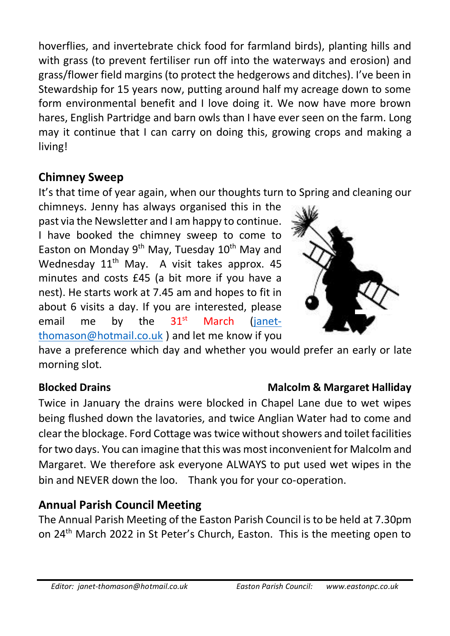hoverflies, and invertebrate chick food for farmland birds), planting hills and with grass (to prevent fertiliser run off into the waterways and erosion) and grass/flower field margins (to protect the hedgerows and ditches). I've been in Stewardship for 15 years now, putting around half my acreage down to some form environmental benefit and I love doing it. We now have more brown hares, English Partridge and barn owls than I have ever seen on the farm. Long may it continue that I can carry on doing this, growing crops and making a living!

# **Chimney Sweep**

It's that time of year again, when our thoughts turn to Spring and cleaning our

chimneys. Jenny has always organised this in the past via the Newsletter and I am happy to continue. I have booked the chimney sweep to come to Easton on Monday  $9<sup>th</sup>$  May, Tuesday  $10<sup>th</sup>$  May and Wednesday 11<sup>th</sup> May. A visit takes approx. 45 minutes and costs £45 (a bit more if you have a nest). He starts work at 7.45 am and hopes to fit in about 6 visits a day. If you are interested, please email me by the  $31<sup>st</sup>$  March [\(janet](mailto:janet-thomason@hotmail.co.uk)[thomason@hotmail.co.uk](mailto:janet-thomason@hotmail.co.uk) ) and let me know if you



have a preference which day and whether you would prefer an early or late morning slot.

# **Blocked Drains Malcolm & Margaret Halliday**

Twice in January the drains were blocked in Chapel Lane due to wet wipes being flushed down the lavatories, and twice Anglian Water had to come and clear the blockage. Ford Cottage was twice without showers and toil[et facili](https://creativecommons.org/licenses/by-nc-nd/3.0/)ties for two days. You can imagine that this was most inconvenient for M[alcolm](https://creativecommons.org/licenses/by-nc-nd/3.0/) and Margaret. We therefore ask everyone ALWAYS to put used wet w[ipes](https://creativecommons.org/licenses/by-nc-nd/3.0/) in the bin and NEVER down the loo. Thank you for your co-operation.

# **Annual Parish Council Meeting**

The Annual Parish Meeting of the Easton Parish Council is to be held at 7.30pm on 24th March 2022 in St Peter's Church, Easton. This is the meeting open to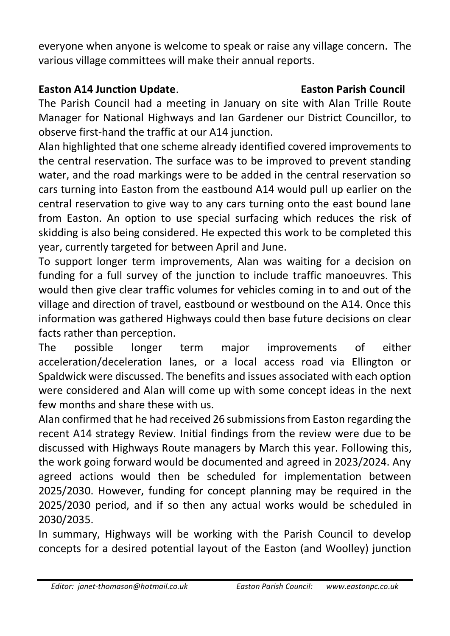everyone when anyone is welcome to speak or raise any village concern. The various village committees will make their annual reports.

### **Easton A14 Junction Update. Easton Parish Council**

The Parish Council had a meeting in January on site with Alan Trille Route Manager for National Highways and Ian Gardener our District Councillor, to observe first-hand the traffic at our A14 junction.

Alan highlighted that one scheme already identified covered improvements to the central reservation. The surface was to be improved to prevent standing water, and the road markings were to be added in the central reservation so cars turning into Easton from the eastbound A14 would pull up earlier on the central reservation to give way to any cars turning onto the east bound lane from Easton. An option to use special surfacing which reduces the risk of skidding is also being considered. He expected this work to be completed this year, currently targeted for between April and June.

To support longer term improvements, Alan was waiting for a decision on funding for a full survey of the junction to include traffic manoeuvres. This would then give clear traffic volumes for vehicles coming in to and out of the village and direction of travel, eastbound or westbound on the A14. Once this information was gathered Highways could then base future decisions on clear facts rather than perception.

The possible longer term major improvements of either acceleration/deceleration lanes, or a local access road via Ellington or Spaldwick were discussed. The benefits and issues associated with each option were considered and Alan will come up with some concept ideas in the next few months and share these with us.

Alan confirmed that he had received 26 submissions from Easton regarding the recent A14 strategy Review. Initial findings from the review were due to be discussed with Highways Route managers by March this year. Following this, the work going forward would be documented and agreed in 2023/2024. Any agreed actions would then be scheduled for implementation between 2025/2030. However, funding for concept planning may be required in the 2025/2030 period, and if so then any actual works would be scheduled in 2030/2035.

In summary, Highways will be working with the Parish Council to develop concepts for a desired potential layout of the Easton (and Woolley) junction